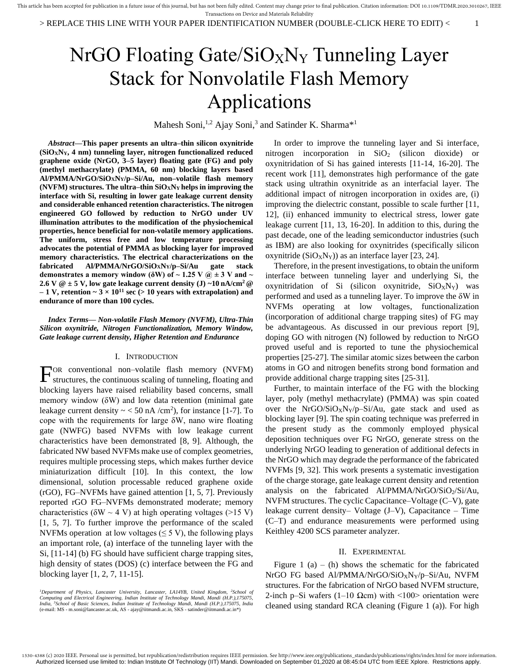# $NrGO$  Floating Gate/ $SiO_XN_Y$  Tunneling Layer Stack for Nonvolatile Flash Memory Applications

Mahesh Soni,<sup>1,2</sup> Ajay Soni,<sup>3</sup> and Satinder K. Sharma<sup>\*1</sup>

*Abstract***—This paper presents an ultra–thin silicon oxynitride (SiOXNY, 4 nm) tunneling layer, nitrogen functionalized reduced graphene oxide (NrGO, 3–5 layer) floating gate (FG) and poly (methyl methacrylate) (PMMA, 60 nm) blocking layers based Al/PMMA/NrGO/SiOXNY/p–Si/Au, non–volatile flash memory (NVFM) structures. The ultra–thin SiOXN<sup>Y</sup> helps in improving the interface with Si, resulting in lower gate leakage current density and considerable enhanced retention characteristics. The nitrogen engineered GO followed by reduction to NrGO under UV illumination attributes to the modification of the physiochemical properties, hence beneficial for non-volatile memory applications. The uniform, stress free and low temperature processing advocates the potential of PMMA as blocking layer for improved memory characteristics. The electrical characterizations on the fabricated Al/PMMA/NrGO/SiOXNY/p–Si/Au gate stack**  demonstrates a memory window ( $\delta W$ ) of  $\sim$  1.25 V  $\omega$   $\pm$  3 V and  $\sim$ **2.6** V  $\omega \pm 5$  V, low gate leakage current density (J) ~10  $\text{nA/cm}^2$   $\omega$  $-1$  V, retention  $\sim 3 \times 10^{11}$  sec ( $> 10$  years with extrapolation) and **endurance of more than 100 cycles.**

*Index Terms***—** *Non-volatile Flash Memory (NVFM), Ultra-Thin Silicon oxynitride, Nitrogen Functionalization, Memory Window, Gate leakage current density, Higher Retention and Endurance*

## I. INTRODUCTION

OR conventional non–volatile flash memory (NVFM)  $\Gamma$ <sup>OR</sup> conventional non-volatile flash memory (NVFM) structures, the continuous scaling of tunneling, floating and blocking layers have raised reliability based concerns, small memory window (δW) and low data retention (minimal gate leakage current density  $\sim$  < 50 nA /cm<sup>2</sup>), for instance [1-7]. To cope with the requirements for large δW, nano wire floating gate (NWFG) based NVFMs with low leakage current characteristics have been demonstrated [8, 9]. Although, the fabricated NW based NVFMs make use of complex geometries, requires multiple processing steps, which makes further device miniaturization difficult [10]. In this context, the low dimensional, solution processable reduced graphene oxide (rGO), FG–NVFMs have gained attention [1, 5, 7]. Previously reported rGO FG–NVFMs demonstrated moderate; memory characteristics ( $\delta W \sim 4$  V) at high operating voltages ( $>15$  V) [1, 5, 7]. To further improve the performance of the scaled NVFMs operation at low voltages ( $\leq$  5 V), the following plays an important role, (a) interface of the tunneling layer with the Si, [11-14] (b) FG should have sufficient charge trapping sites, high density of states (DOS) (c) interface between the FG and blocking layer [1, 2, 7, 11-15].

*<sup>1</sup>Department of Physics, Lancaster University, Lancaster, LA14YB, United Kingdom, <sup>2</sup>School of*  Computing and Electrical Engineering, Indian Institute of Technology Mandi, Mandi (H.P.),175075,<br>India, <sup>3</sup>School of Basic Sciences, Indian Institute of Technology Mandi, Mandi (H.P.),175075, India (e-mail: MS - m.soni@lancaster.ac.uk, AS - ajay@iitmandi.ac.in, SKS - satinder@iitmandi.ac.in\*)

In order to improve the tunneling layer and Si interface, nitrogen incorporation in  $SiO<sub>2</sub>$  (silicon dioxide) or oxynitridation of Si has gained interests [11-14, 16-20]. The recent work [11], demonstrates high performance of the gate stack using ultrathin oxynitride as an interfacial layer. The additional impact of nitrogen incorporation in oxides are, (i) improving the dielectric constant, possible to scale further [11, 12], (ii) enhanced immunity to electrical stress, lower gate leakage current [11, 13, 16-20]. In addition to this, during the past decade, one of the leading semiconductor industries (such as IBM) are also looking for oxynitrides (specifically silicon oxynitride  $(SiO_XN_Y)$ ) as an interface layer [23, 24].

Therefore, in the present investigations, to obtain the uniform interface between tunneling layer and underlying Si, the oxynitridation of Si (silicon oxynitride,  $SiO_XN_Y$ ) was performed and used as a tunneling layer. To improve the δW in NVFMs operating at low voltages, functionalization (incorporation of additional charge trapping sites) of FG may be advantageous. As discussed in our previous report [9], doping GO with nitrogen (N) followed by reduction to NrGO proved useful and is reported to tune the physiochemical properties [25-27]. The similar atomic sizes between the carbon atoms in GO and nitrogen benefits strong bond formation and provide additional charge trapping sites [25-31].

Further, to maintain interface of the FG with the blocking layer, poly (methyl methacrylate) (PMMA) was spin coated over the NrGO/SiO<sub>X</sub>N<sub>Y</sub>/p–Si/Au, gate stack and used as blocking layer [9]. The spin coating technique was preferred in the present study as the commonly employed physical deposition techniques over FG NrGO, generate stress on the underlying NrGO leading to generation of additional defects in the NrGO which may degrade the performance of the fabricated NVFMs [9, 32]. This work presents a systematic investigation of the charge storage, gate leakage current density and retention analysis on the fabricated  $A$ l/PMMA/NrGO/SiO<sub>2</sub>/Si/Au, NVFM structures. The cyclic Capacitance–Voltage (C–V), gate leakage current density– Voltage (J–V), Capacitance – Time (C–T) and endurance measurements were performed using Keithley 4200 SCS parameter analyzer.

## II. EXPERIMENTAL

Figure 1 (a) – (h) shows the schematic for the fabricated NrGO FG based Al/PMMA/NrGO/SiO<sub>X</sub>N<sub>Y</sub>/p-Si/Au, NVFM structures. For the fabrication of NrGO based NVFM structure, 2-inch p–Si wafers (1–10 Ωcm) with  $\langle 100 \rangle$  orientation were cleaned using standard RCA cleaning (Figure 1 (a)). For high

<sup>1530-4388 (</sup>c) 2020 IEEE. Personal use is permitted, but republication/redistribution requires IEEE permission. See http://www.ieee.org/publications\_standards/publications/rights/index.html for more information. Authorized licensed use limited to: Indian Institute Of Technology (IIT) Mandi. Downloaded on September 01,2020 at 08:45:04 UTC from IEEE Xplore. Restrictions apply.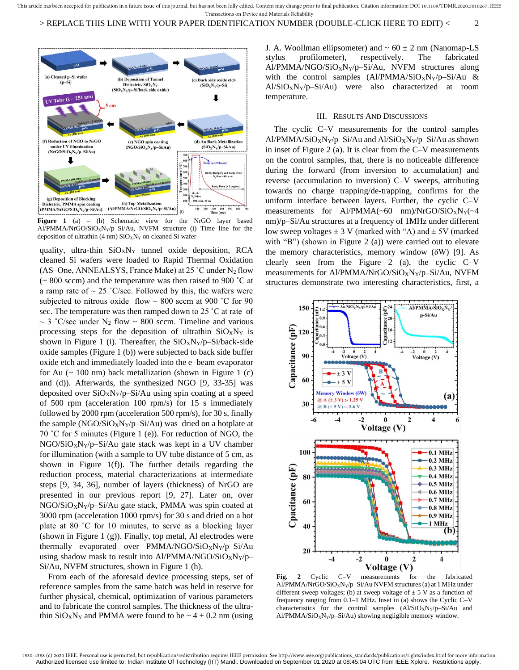> REPLACE THIS LINE WITH YOUR PAPER IDENTIFICATION NUMBER (DOUBLE-CLICK HERE TO EDIT) < 2



Figure 1 (a) – (h) Schematic view for the NrGO layer based Al/PMMA/NrGO/SiO<sub>X</sub>N<sub>Y</sub>/p-Si/Au, NVFM structure (i) Time line for the deposition of ultrathin (4 nm)  $SiO_XN_Y$  on cleaned Si wafer

quality, ultra-thin  $SiO_XN_Y$  tunnel oxide deposition, RCA cleaned Si wafers were loaded to Rapid Thermal Oxidation (AS–One, ANNEALSYS, France Make) at 25 °C under  $N_2$  flow (~ 800 sccm) and the temperature was then raised to 900 ˚C at a ramp rate of  $\sim 25$  °C/sec. Followed by this, the wafers were subjected to nitrous oxide flow  $\sim 800$  sccm at 900 °C for 90 sec. The temperature was then ramped down to 25 ˚C at rate of  $\sim$  3 °C/sec under N<sub>2</sub> flow  $\sim$  800 sccm. Timeline and various processing steps for the deposition of ultrathin  $SiOxN<sub>Y</sub>$  is shown in Figure 1 (i). Thereafter, the  $SiO_XN_Y/p-Si/back-side$ oxide samples (Figure 1 (b)) were subjected to back side buffer oxide etch and immediately loaded into the e–beam evaporator for Au  $($  - 100 nm) back metallization (shown in Figure 1  $(c)$ ) and (d)). Afterwards, the synthesized NGO [9, 33-35] was deposited over  $SiO_XN_Y/p-Si/Au$  using spin coating at a speed of 500 rpm (acceleration 100 rpm/s) for 15 s immediately followed by 2000 rpm (acceleration 500 rpm/s), for 30 s, finally the sample  $(NGO/SiO_XN_Y/p-Si/Au)$  was dried on a hotplate at 70 ˚C for 5 minutes (Figure 1 (e)). For reduction of NGO, the  $NGO/SiO_XN_Y/p-Si/Au$  gate stack was kept in a UV chamber for illumination (with a sample to UV tube distance of 5 cm, as shown in Figure 1(f)). The further details regarding the reduction process, material characterizations at intermediate steps [9, 34, 36], number of layers (thickness) of NrGO are presented in our previous report [9, 27]. Later on, over NGO/SiOXNY/p–Si/Au gate stack, PMMA was spin coated at 3000 rpm (acceleration 1000 rpm/s) for 30 s and dried on a hot plate at 80 ˚C for 10 minutes, to serve as a blocking layer (shown in Figure 1  $(g)$ ). Finally, top metal, Al electrodes were thermally evaporated over  $PMMA/NGO/SiO_XN_Y/p-Si/Au$ using shadow mask to result into Al/PMMA/NGO/SiO<sub>x</sub>N<sub>Y</sub>/p– Si/Au, NVFM structures, shown in Figure 1 (h).

From each of the aforesaid device processing steps, set of reference samples from the same batch was held in reserve for further physical, chemical, optimization of various parameters and to fabricate the control samples. The thickness of the ultrathin  $SiO_XN_Y$  and PMMA were found to be  $\sim 4 \pm 0.2$  nm (using

J. A. Woollman ellipsometer) and  $\sim 60 \pm 2$  nm (Nanomap-LS stylus profilometer), respectively. The fabricated  $A1/PMMA/NGO/SiO_XN_Y/p-Si/Au$ , NVFM structures along with the control samples  $(A1/PMMA/SiO_XN_Y/p-Si/Au \&$  $A1/SiO_XN_Y/p-Si/Au$  were also characterized at room temperature.

# III. RESULTS AND DISCUSSIONS

The cyclic C–V measurements for the control samples Al/PMMA/SiO<sub>X</sub>N<sub>Y</sub>/p–Si/Au and Al/SiO<sub>X</sub>N<sub>Y</sub>/p–Si/Au as shown in inset of Figure 2 (a). It is clear from the C–V measurements on the control samples, that, there is no noticeable difference during the forward (from inversion to accumulation) and reverse (accumulation to inversion) C–V sweeps, attributing towards no charge trapping/de-trapping, confirms for the uniform interface between layers. Further, the cyclic C–V measurements for Al/PMMA(~60 nm)/NrGO/SiO<sub>X</sub>N<sub>Y</sub>(~4 nm)/p–Si/Au structures at a frequency of 1MHz under different low sweep voltages  $\pm 3$  V (marked with "A) and  $\pm 5V$  (marked with "B") (shown in Figure 2 (a)) were carried out to elevate the memory characteristics, memory window  $(\delta W)$  [9]. As clearly seen from the Figure 2 (a), the cyclic C–V measurements for Al/PMMA/NrGO/SiO<sub>X</sub>N<sub>Y</sub>/p–Si/Au, NVFM structures demonstrate two interesting characteristics, first, a



**Fig. 2** Cyclic C–V measurements for the fabricated Al/PMMA/NrGO/SiO<sub>X</sub>N<sub>Y</sub>/p-Si/Au NVFM structures (a) at 1 MHz under different sweep voltages; (b) at sweep voltage of  $\pm$  5 V as a function of frequency ranging from 0.1–1 MHz. Inset in (a) shows the Cyclic C–V characteristics for the control samples  $(A1/SiO_XN_Y/p-Si/Au$  and  $A1/PMMA/SiO_XN_Y/p-Si/Au$ ) showing negligible memory window.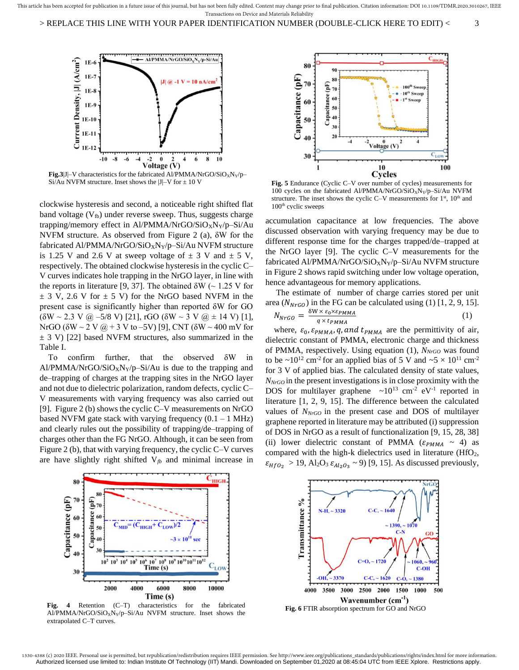> REPLACE THIS LINE WITH YOUR PAPER IDENTIFICATION NUMBER (DOUBLE-CLICK HERE TO EDIT) < 3



**Fig.3**|J|–V characteristics for the fabricated Al/PMMA/NrGO/SiO<sub>X</sub>N<sub>Y</sub>/p– Si/Au NVFM structure. Inset shows the  $|J|-V$  for  $\pm 10$  V

clockwise hysteresis and second, a noticeable right shifted flat band voltage  $(V<sub>fb</sub>)$  under reverse sweep. Thus, suggests charge trapping/memory effect in Al/PMMA/NrGO/SiO<sub>X</sub>N<sub>Y</sub>/p–Si/Au NVFM structure. As observed from Figure 2 (a), δW for the fabricated Al/PMMA/NrGO/SiO<sub>X</sub>N<sub>Y</sub>/p–Si/Au NVFM structure is 1.25 V and 2.6 V at sweep voltage of  $\pm$  3 V and  $\pm$  5 V, respectively. The obtained clockwise hysteresis in the cyclic C– V curves indicates hole trapping in the NrGO layer, in line with the reports in literature [9, 37]. The obtained  $\delta W \sim 1.25 V$  for  $\pm$  3 V, 2.6 V for  $\pm$  5 V) for the NrGO based NVFM in the present case is significantly higher than reported δW for GO  $(\delta W \sim 2.3 \text{ V } \omega - 5/8 \text{ V})$  [21], rGO  $(\delta W \sim 3 \text{ V } \omega \pm 14 \text{ V})$  [1], NrGO (δW ~ 2 V @ + 3 V to –5V) [9], CNT (δW ~ 400 mV for  $\pm$  3 V) [22] based NVFM structures, also summarized in the Table I.

To confirm further, that the observed δW in Al/PMMA/NrGO/SiO<sub>X</sub>N<sub>Y</sub>/p–Si/Au is due to the trapping and de–trapping of charges at the trapping sites in the NrGO layer and not due to dielectric polarization, random defects, cyclic C– V measurements with varying frequency was also carried out [9]. Figure 2 (b) shows the cyclic C–V measurements on NrGO based NVFM gate stack with varying frequency  $(0.1 - 1 \text{ MHz})$ and clearly rules out the possibility of trapping/de–trapping of charges other than the FG NrGO. Although, it can be seen from Figure 2 (b), that with varying frequency, the cyclic C–V curves are have slightly right shifted  $V_{fb}$  and minimal increase in



**Fig. 5** Endurance (Cyclic C–V over number of cycles) measurements for 100 cycles on the fabricated Al/PMMA/NrGO/SiO<sub>X</sub>N<sub>Y</sub>/p–Si/Au NVFM structure. The inset shows the cyclic C–V measurements for  $1<sup>st</sup>$ ,  $10<sup>th</sup>$  and  $100<sup>th</sup>$  cyclic sweeps

accumulation capacitance at low frequencies. The above discussed observation with varying frequency may be due to different response time for the charges trapped/de–trapped at the NrGO layer [9]. The cyclic C–V measurements for the fabricated Al/PMMA/NrGO/SiO<sub>X</sub>N<sub>Y</sub>/p–Si/Au NVFM structure in Figure 2 shows rapid switching under low voltage operation, hence advantageous for memory applications.

The estimate of number of charge carries stored per unit area ( $N<sub>NrGO</sub>$ ) in the FG can be calculated using (1) [1, 2, 9, 15].

$$
N_{NrGO} = \frac{\delta W \times \varepsilon_0 \times \varepsilon_{PMMA}}{q \times t_{PMMA}} \tag{1}
$$

where,  $\varepsilon_0$ ,  $\varepsilon_{PMMA}$ , q, and  $t_{PMMA}$  are the permittivity of air, dielectric constant of PMMA, electronic charge and thickness of PMMA, respectively. Using equation (1), *NNrGO* was found to be  $\sim 10^{12}$  cm<sup>-2</sup> for an applied bias of 5 V and  $\sim 5 \times 10^{11}$  cm<sup>-2</sup> for 3 V of applied bias. The calculated density of state values, *NNrGO* in the present investigations is in close proximity with the DOS for multilayer graphene  $\sim 10^{13}$  cm<sup>-2</sup> eV<sup>-1</sup> reported in literature [1, 2, 9, 15]. The difference between the calculated values of *NNrGO* in the present case and DOS of multilayer graphene reported in literature may be attributed (i) suppression of DOS in NrGO as a result of functionalization [9, 15, 28, 38] (ii) lower dielectric constant of PMMA ( $\varepsilon_{PMMA} \sim 4$ ) as compared with the high-k dielectrics used in literature  $(HfO<sub>2</sub>,$  $\varepsilon_{HfO_2} > 19$ , Al<sub>2</sub>O<sub>3</sub>  $\varepsilon_{Al_2O_3} \sim 9$ ) [9, 15]. As discussed previously,



**Fig. 4** Retention (C–T) characteristics for the fabricated Al/PMMA/NrGO/SiO<sub>X</sub>N<sub>Y</sub>/p–Si/Au NVFM structure. Inset shows the extrapolated C–T curves.

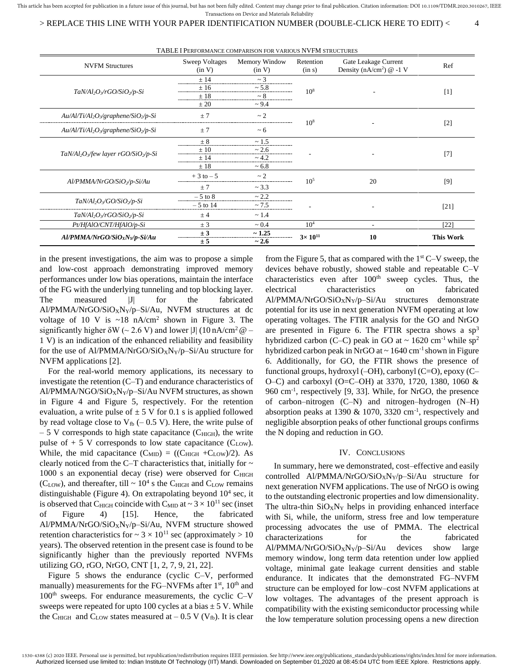This article has been accepted for publication in a future issue of this journal, but has not been fully edited. Content may change prior to final publication. Citation information: DOI 10.1109/TDMR.2020.3010267, IEEE Transactions on Device and Materials Reliability

> REPLACE THIS LINE WITH YOUR PAPER IDENTIFICATION NUMBER (DOUBLE-CLICK HERE TO EDIT) < 4

TABLE I PERFORMANCE COMPARISON FOR VARIOUS NVFM STRUCTURES

|                                                     | TADLE I FERFORMANCE COMPARISON FOR VARIOUS IN VITH STRUCTURES |                         |                     |                                                                |                  |  |
|-----------------------------------------------------|---------------------------------------------------------------|-------------------------|---------------------|----------------------------------------------------------------|------------------|--|
| <b>NVFM Structures</b>                              | Sweep Voltages<br>(in V)                                      | Memory Window<br>(in V) | Retention<br>(in s) | Gate Leakage Current<br>Density (nA/cm <sup>2</sup> ) $@ -1 V$ | Ref              |  |
| $TaN/Al_2O\sqrt{rGO/SiO\sqrt{p-Si}}$                | ±14                                                           | $\sim$ 3                | $10^{8}$            |                                                                | $[1]$            |  |
|                                                     | ±16                                                           | ~1.8                    |                     |                                                                |                  |  |
|                                                     | ±18                                                           | $~\sim 8$               |                     |                                                                |                  |  |
|                                                     | $\pm 20$                                                      | $\sim 9.4$              |                     |                                                                |                  |  |
| $Au/Al/Ti/Al_2O_3/graphene/SiO_2/p-Si$              | $+7$                                                          | $\sim$ 2                | 10 <sup>8</sup>     |                                                                | $[2]$            |  |
| $Au/Al/Ti/Al_2O_3/graphene/SiO_2/p-Si$              | ±7                                                            | $~1$ 6                  |                     |                                                                |                  |  |
| $TaN/Al_2O_3$ /few layer rGO/SiO <sub>2</sub> /p-Si | $\pm 8$                                                       | ~1.5                    |                     |                                                                | $[7]$            |  |
|                                                     | $+10$                                                         | ~2.6                    |                     |                                                                |                  |  |
|                                                     | + 14                                                          | ~1.2                    |                     |                                                                |                  |  |
|                                                     | $+18$                                                         | ~1.8                    |                     |                                                                |                  |  |
| $Al/PMMA/NrGO/SiO_2/p-Si/Au$                        | $+3$ to $-5$                                                  | $\sim$ 2                | $10^{5}$            | 20                                                             | [9]              |  |
|                                                     | $+7$                                                          | ~1.3                    |                     |                                                                |                  |  |
| $TaN/Al_2O\sqrt{GO/SiO_2/p-Si}$                     | $-5$ to 8                                                     | ~2.2                    |                     |                                                                |                  |  |
|                                                     | $-5$ to 14                                                    | ~1.5                    |                     |                                                                | $[21]$           |  |
| $TaN/Al_2O_3/rGO/SiO_2/p-Si$                        | ± 4                                                           | $\sim$ 1.4              |                     |                                                                |                  |  |
| Pt/HfAlO/CNT/HfAlO/p-Si                             | ± 3                                                           | $~1$ 0.4                | $10^{4}$            | ٠                                                              | [22]             |  |
| Al/PMMA/NrGO/SiOxNy/p-Si/Au                         | ± 3                                                           | ~1.25                   | $3 \times 10^{11}$  | 10                                                             | <b>This Work</b> |  |
|                                                     | ± 5                                                           | ~2.6                    |                     |                                                                |                  |  |

in the present investigations, the aim was to propose a simple and low-cost approach demonstrating improved memory performances under low bias operations, maintain the interface of the FG with the underlying tunneling and top blocking layer. The measured |J| for the fabricated  $A1/PMMA/NrGO/SiO_XN_Y/p-Si/Au$ , NVFM structures at dc voltage of 10 V is  $\sim 18$  nA/cm<sup>2</sup> shown in Figure 3. The significantly higher  $\delta W$  (~ 2.6 V) and lower |J| (10 nA/cm<sup>2</sup>  $\omega$  – 1 V) is an indication of the enhanced reliability and feasibility for the use of Al/PMMA/NrGO/SiO<sub>X</sub>N<sub>Y</sub>/p–Si/Au structure for NVFM applications [2].

For the real-world memory applications, its necessary to investigate the retention (C–T) and endurance characteristics of Al/PMMA/NGO/SiO<sub>X</sub>N<sub>Y</sub>/p–Si/Au NVFM structures, as shown in Figure 4 and Figure 5, respectively. For the retention evaluation, a write pulse of  $\pm$  5 V for 0.1 s is applied followed by read voltage close to  $V_{fb}$  (– 0.5 V). Here, the write pulse of  $-5$  V corresponds to high state capacitance (C<sub>HIGH</sub>), the write pulse of  $+ 5$  V corresponds to low state capacitance (C<sub>LOW</sub>). While, the mid capacitance  $(C_{\text{MID}}) = ((C_{\text{HIGH}} + C_{\text{LOW}})/2)$ . As clearly noticed from the C–T characteristics that, initially for  $\sim$  $1000$  s an exponential decay (rise) were observed for  $C_{\text{HIGH}}$ ( $C_{LOW}$ ), and thereafter, till  $\sim 10^4$  s the  $C_{HIGH}$  and  $C_{LOW}$  remains distinguishable (Figure 4). On extrapolating beyond  $10<sup>4</sup>$  sec, it is observed that C<sub>HIGH</sub> coincide with C<sub>MID</sub> at  $\sim 3 \times 10^{11}$  sec (inset of Figure 4) [15]. Hence, the fabricated Al/PMMA/NrGO/SiOXNY/p–Si/Au, NVFM structure showed retention characteristics for  $\sim 3 \times 10^{11}$  sec (approximately  $> 10$ years). The observed retention in the present case is found to be significantly higher than the previously reported NVFMs utilizing GO, rGO, NrGO, CNT [1, 2, 7, 9, 21, 22].

Figure 5 shows the endurance (cyclic C–V, performed manually) measurements for the FG–NVFMs after  $1<sup>st</sup>$ ,  $10<sup>th</sup>$  and  $100<sup>th</sup>$  sweeps. For endurance measurements, the cyclic C–V sweeps were repeated for upto 100 cycles at a bias  $\pm$  5 V. While the C<sub>HIGH</sub> and C<sub>LOW</sub> states measured at  $-0.5$  V (V<sub>fb</sub>). It is clear

from the Figure 5, that as compared with the  $1<sup>st</sup> C-V$  sweep, the devices behave robustly, showed stable and repeatable C–V characteristics even after  $100<sup>th</sup>$  sweep cycles. Thus, the electrical characteristics on fabricated  $A1/PMMA/NrGO/SiO_XN_Y/p-Si/Au$  structures demonstrate potential for its use in next generation NVFM operating at low operating voltages. The FTIR analysis for the GO and NrGO are presented in Figure 6. The FTIR spectra shows a  $sp<sup>3</sup>$ hybridized carbon (C–C) peak in GO at  $\sim 1620$  cm<sup>-1</sup> while sp<sup>2</sup> hybridized carbon peak in NrGO at  $\sim 1640 \text{ cm}^{-1}$  shown in Figure 6. Additionally, for GO, the FTIR shows the presence of functional groups, hydroxyl (–OH), carbonyl (C=O), epoxy (C– O–C) and carboxyl (O=C–OH) at 3370, 1720, 1380, 1060 & 960 cm-1 , respectively [9, 33]. While, for NrGO, the presence of carbon–nitrogen (C–N) and nitrogen–hydrogen (N–H) absorption peaks at 1390  $\&$  1070, 3320 cm<sup>-1</sup>, respectively and negligible absorption peaks of other functional groups confirms the N doping and reduction in GO.

#### IV. CONCLUSIONS

In summary, here we demonstrated, cost–effective and easily controlled Al/PMMA/NrGO/SiO<sub>X</sub>N<sub>Y</sub>/p–Si/Au structure for next generation NVFM applications. The use of NrGO is owing to the outstanding electronic properties and low dimensionality. The ultra-thin  $SiO_XN_Y$  helps in providing enhanced interface with Si, while, the uniform, stress free and low temperature processing advocates the use of PMMA. The electrical characterizations for the fabricated  $A1/PMMA/NrGO/SiO_XN_Y/p-Si/Au$  devices show large memory window, long term data retention under low applied voltage, minimal gate leakage current densities and stable endurance. It indicates that the demonstrated FG–NVFM structure can be employed for low–cost NVFM applications at low voltages. The advantages of the present approach is compatibility with the existing semiconductor processing while the low temperature solution processing opens a new direction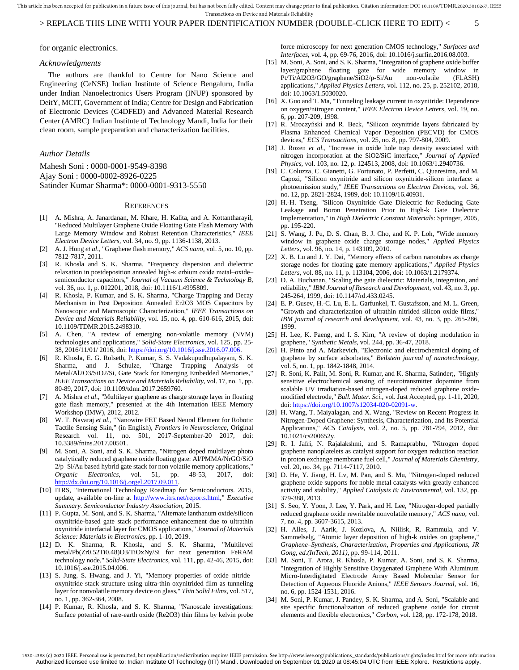This article has been accepted for publication in a future issue of this journal, but has not been fully edited. Content may change prior to final publication. Citation information: DOI 10.1109/TDMR.2020.3010267, IEEE Transactions on Device and Materials Reliability

# > REPLACE THIS LINE WITH YOUR PAPER IDENTIFICATION NUMBER (DOUBLE-CLICK HERE TO EDIT) < 5

for organic electronics.

## *Acknowledgments*

The authors are thankful to Centre for Nano Science and Engineering (CeNSE) Indian Institute of Science Bengaluru, India under Indian Nanoelectronics Users Program (INUP) sponsored by DeitY, MCIT, Government of India; Centre for Design and Fabrication of Electronic Devices (C4DFED) and Advanced Material Research Center (AMRC) Indian Institute of Technology Mandi, India for their clean room, sample preparation and characterization facilities.

# *Author Details*

Mahesh Soni : 0000-0001-9549-8398 Ajay Soni : 0000-0002-8926-0225 Satinder Kumar Sharma\*[: 0000-0001-9313-5550](https://orcid.org/0000-0001-9313-5550)

## **REFERENCES**

- [1] A. Mishra, A. Janardanan, M. Khare, H. Kalita, and A. Kottantharayil, "Reduced Multilayer Graphene Oxide Floating Gate Flash Memory With Large Memory Window and Robust Retention Characteristics," *IEEE Electron Device Letters,* vol. 34, no. 9, pp. 1136-1138, 2013.
- [2] A. J. Hong *et al.*, "Graphene flash memory," *ACS nano,* vol. 5, no. 10, pp. 7812-7817, 2011.
- [3] R. Khosla and S. K. Sharma, "Frequency dispersion and dielectric relaxation in postdeposition annealed high-κ erbium oxide metal–oxide– semiconductor capacitors," *Journal of Vacuum Science & Technology B,*  vol. 36, no. 1, p. 012201, 2018, doi: 10.1116/1.4995809.
- [4] R. Khosla, P. Kumar, and S. K. Sharma, "Charge Trapping and Decay Mechanism in Post Deposition Annealed Er2O3 MOS Capacitors by Nanoscopic and Macroscopic Characterization," *IEEE Transactions on Device and Materials Reliability,* vol. 15, no. 4, pp. 610-616, 2015, doi: 10.1109/TDMR.2015.2498310.
- [5] A. Chen, "A review of emerging non-volatile memory (NVM) technologies and applications," *Solid-State Electronics,* vol. 125, pp. 25- 38, 2016/11/01/ 2016, doi: [https://doi.org/10.1016/j.sse.2016.07.006.](https://doi.org/10.1016/j.sse.2016.07.006)
- [6] R. Khosla, E. G. Rolseth, P. Kumar, S. S. Vadakupudhupalayam, S. K. Sharma, and J. Schulze, "Charge Trapping Analysis of Metal/Al2O3/SiO2/Si, Gate Stack for Emerging Embedded Memories," *IEEE Transactions on Device and Materials Reliability,* vol. 17, no. 1, pp. 80-89, 2017, doi: 10.1109/tdmr.2017.2659760.
- [7] A. Mishra *et al.*, "Multilayer graphene as charge storage layer in floating gate flash memory," presented at the 4th Internation IEEE Memory Workshop (IMW), 2012, 2012.
- [8] W. T. Navaraj *et al.*, "Nanowire FET Based Neural Element for Robotic Tactile Sensing Skin," (in English), *Frontiers in Neuroscience,* Original Research vol. 11, no. 501, 2017-September-20 2017, doi: 10.3389/fnins.2017.00501.
- [9] M. Soni, A. Soni, and S. K. Sharma, "Nitrogen doped multilayer photo catalytically reduced graphene oxide floating gate: Al/PMMA/NrGO/SiO 2/p–Si/Au based hybrid gate stack for non volatile memory applications," *Organic Electronics,* vol. 51, pp. 48-53, 2017, doi: [http://dx.doi.org/10.1016/j.orgel.2017.09.011.](http://dx.doi.org/10.1016/j.orgel.2017.09.011)
- [10] ITRS, "International Technology Roadmap for Semiconductors. 2015, update, available on-line at [http://www.itrs.net/reports.html,"](http://www.itrs.net/reports.html) *Executive Summary. Semiconductor Industry Association,* 2015.
- [11] P. Gupta, M. Soni, and S. K. Sharma, "Alternate lanthanum oxide/silicon oxynitride-based gate stack performance enhancement due to ultrathin oxynitride interfacial layer for CMOS applications," *Journal of Materials Science: Materials in Electronics,* pp. 1-10, 2019.
- [12] D. K. Sharma, R. Khosla, and S. K. Sharma, "Multilevel metal/Pb(Zr0.52Ti0.48)O3/TiOxNy/Si for next generation FeRAM technology node," *Solid-State Electronics,* vol. 111, pp. 42-46, 2015, doi: 10.1016/j.sse.2015.04.006.
- [13] S. Jung, S. Hwang, and J. Yi, "Memory properties of oxide–nitride– oxynitride stack structure using ultra-thin oxynitrided film as tunneling layer for nonvolatile memory device on glass," *Thin Solid Films,* vol. 517, no. 1, pp. 362-364, 2008.
- [14] P. Kumar, R. Khosla, and S. K. Sharma, "Nanoscale investigations: Surface potential of rare-earth oxide (Re2O3) thin films by kelvin probe

force microscopy for next generation CMOS technology," *Surfaces and Interfaces,* vol. 4, pp. 69-76, 2016, doi: 10.1016/j.surfin.2016.08.003.

- M. Soni, A. Soni, and S. K. Sharma, "Integration of graphene oxide buffer layer/graphene floating gate for wide memory window in Pt/Ti/Al2O3/GO/graphene/SiO2/p-Si/Au applications," *Applied Physics Letters,* vol. 112, no. 25, p. 252102, 2018, doi: 10.1063/1.5030020.
- [16] X. Guo and T. Ma, "Tunneling leakage current in oxynitride: Dependence on oxygen/nitrogen content," *IEEE Electron Device Letters,* vol. 19, no. 6, pp. 207-209, 1998.
- [17] R. Mroczyński and R. Beck, "Silicon oxynitride layers fabricated by Plasma Enhanced Chemical Vapor Deposition (PECVD) for CMOS devices," *ECS Transactions,* vol. 25, no. 8, pp. 797-804, 2009.
- [18] J. Rozen *et al.*, "Increase in oxide hole trap density associated with nitrogen incorporation at the SiO2/SiC interface," *Journal of Applied Physics,* vol. 103, no. 12, p. 124513, 2008, doi: 10.1063/1.2940736.
- [19] C. Coluzza, C. Gianetti, G. Fortunato, P. Perfetti, C. Quaresima, and M. Capozi, "Silicon oxynitride and silicon oxynitride-silicon interface: a photoemission study," *IEEE Transactions on Electron Devices,* vol. 36, no. 12, pp. 2821-2824, 1989, doi: 10.1109/16.40931.
- [20] H.-H. Tseng, "Silicon Oxynitride Gate Dielectric for Reducing Gate Leakage and Boron Penetration Prior to High-k Gate Dielectric Implementation," in *High Dielectric Constant Materials*: Springer, 2005, pp. 195-220.
- [21] S. Wang, J. Pu, D. S. Chan, B. J. Cho, and K. P. Loh, "Wide memory window in graphene oxide charge storage nodes," *Applied Physics Letters,* vol. 96, no. 14, p. 143109, 2010.
- [22] X. B. Lu and J. Y. Dai, "Memory effects of carbon nanotubes as charge storage nodes for floating gate memory applications," *Applied Physics Letters,* vol. 88, no. 11, p. 113104, 2006, doi: 10.1063/1.2179374.
- [23] D. A. Buchanan, "Scaling the gate dielectric: Materials, integration, and reliability," *IBM Journal of Research and Development,* vol. 43, no. 3, pp. 245-264, 1999, doi: 10.1147/rd.433.0245.
- [24] E. P. Gusev, H.-C. Lu, E. L. Garfunkel, T. Gustafsson, and M. L. Green, "Growth and characterization of ultrathin nitrided silicon oxide films," *IBM journal of research and development,* vol. 43, no. 3, pp. 265-286, 1999.
- [25] H. Lee, K. Paeng, and I. S. Kim, "A review of doping modulation in graphene," *Synthetic Metals,* vol. 244, pp. 36-47, 2018.
- [26] H. Pinto and A. Markevich, "Electronic and electrochemical doping of graphene by surface adsorbates," *Beilstein journal of nanotechnology,*  vol. 5, no. 1, pp. 1842-1848, 2014.
- [27] R. Soni, K. Palit, M. Soni, R. Kumar, and K. Sharma, Satinder;, "Highly sensitive electrochemical sensing of neurotransmitter dopamine from scalable UV irradiation-based nitrogen-doped reduced graphene oxidemodified electrode," *Bull. Mater. Sci.,* vol. Just Accepted, pp. 1-11, 2020, doi[: https://doi.org/10.1007/s12034-020-02091-w.](https://doi.org/10.1007/s12034-020-02091-w)
- [28] H. Wang, T. Maiyalagan, and X. Wang, "Review on Recent Progress in Nitrogen-Doped Graphene: Synthesis, Characterization, and Its Potential Applications," *ACS Catalysis,* vol. 2, no. 5, pp. 781-794, 2012, doi: 10.1021/cs200652y.
- [29] R. I. Jafri, N. Rajalakshmi, and S. Ramaprabhu, "Nitrogen doped graphene nanoplatelets as catalyst support for oxygen reduction reaction in proton exchange membrane fuel cell," *Journal of Materials Chemistry,*  vol. 20, no. 34, pp. 7114-7117, 2010.
- [30] D. He, Y. Jiang, H. Lv, M. Pan, and S. Mu, "Nitrogen-doped reduced graphene oxide supports for noble metal catalysts with greatly enhanced activity and stability," *Applied Catalysis B: Environmental,* vol. 132, pp. 379-388, 2013.
- [31] S. Seo, Y. Yoon, J. Lee, Y. Park, and H. Lee, "Nitrogen-doped partially reduced graphene oxide rewritable nonvolatile memory," *ACS nano,* vol. 7, no. 4, pp. 3607-3615, 2013.
- [32] H. Alles, J. Aarik, J. Kozlova, A. Niilisk, R. Rammula, and V. Sammelselg, "Atomic layer deposition of high-k oxides on graphene," *Graphene–Synthesis, Characterization, Properties and Applications, JR Gong, ed.(InTech, 2011),* pp. 99-114, 2011.
- [33] M. Soni, T. Arora, R. Khosla, P. Kumar, A. Soni, and S. K. Sharma, "Integration of Highly Sensitive Oxygenated Graphene With Aluminum Micro-Interdigitated Electrode Array Based Molecular Sensor for Detection of Aqueous Fluoride Anions," *IEEE Sensors Journal,* vol. 16, no. 6, pp. 1524-1531, 2016.
- [34] M. Soni, P. Kumar, J. Pandey, S. K. Sharma, and A. Soni, "Scalable and site specific functionalization of reduced graphene oxide for circuit elements and flexible electronics," *Carbon,* vol. 128, pp. 172-178, 2018.